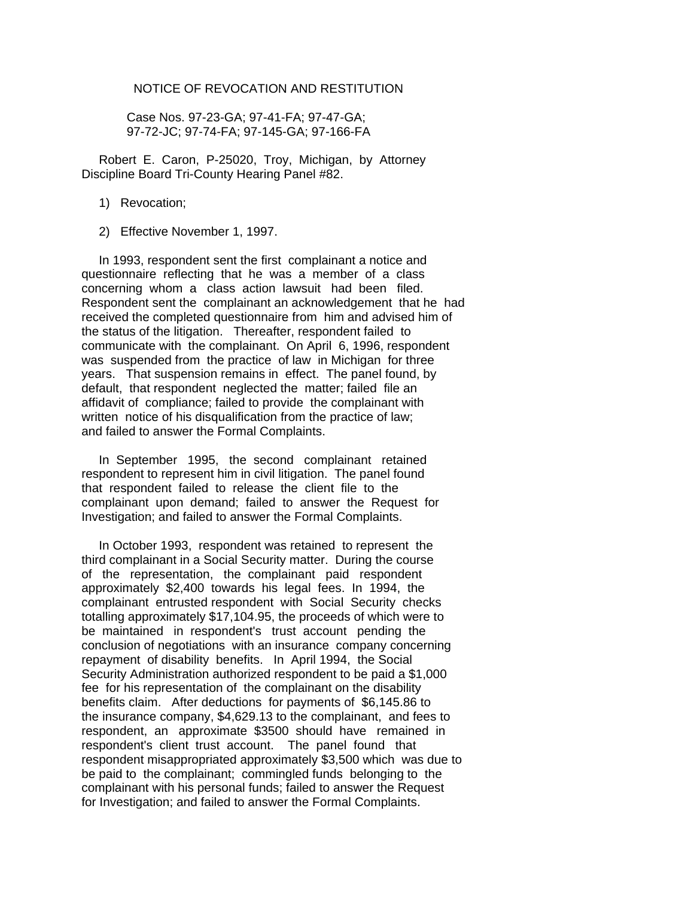## NOTICE OF REVOCATION AND RESTITUTION

 Case Nos. 97-23-GA; 97-41-FA; 97-47-GA; 97-72-JC; 97-74-FA; 97-145-GA; 97-166-FA

 Robert E. Caron, P-25020, Troy, Michigan, by Attorney Discipline Board Tri-County Hearing Panel #82.

- 1) Revocation;
- 2) Effective November 1, 1997.

 In 1993, respondent sent the first complainant a notice and questionnaire reflecting that he was a member of a class concerning whom a class action lawsuit had been filed. Respondent sent the complainant an acknowledgement that he had received the completed questionnaire from him and advised him of the status of the litigation. Thereafter, respondent failed to communicate with the complainant. On April 6, 1996, respondent was suspended from the practice of law in Michigan for three years. That suspension remains in effect. The panel found, by default, that respondent neglected the matter; failed file an affidavit of compliance; failed to provide the complainant with written notice of his disqualification from the practice of law; and failed to answer the Formal Complaints.

 In September 1995, the second complainant retained respondent to represent him in civil litigation. The panel found that respondent failed to release the client file to the complainant upon demand; failed to answer the Request for Investigation; and failed to answer the Formal Complaints.

 In October 1993, respondent was retained to represent the third complainant in a Social Security matter. During the course of the representation, the complainant paid respondent approximately \$2,400 towards his legal fees. In 1994, the complainant entrusted respondent with Social Security checks totalling approximately \$17,104.95, the proceeds of which were to be maintained in respondent's trust account pending the conclusion of negotiations with an insurance company concerning repayment of disability benefits. In April 1994, the Social Security Administration authorized respondent to be paid a \$1,000 fee for his representation of the complainant on the disability benefits claim. After deductions for payments of \$6,145.86 to the insurance company, \$4,629.13 to the complainant, and fees to respondent, an approximate \$3500 should have remained in respondent's client trust account. The panel found that respondent misappropriated approximately \$3,500 which was due to be paid to the complainant; commingled funds belonging to the complainant with his personal funds; failed to answer the Request for Investigation; and failed to answer the Formal Complaints.